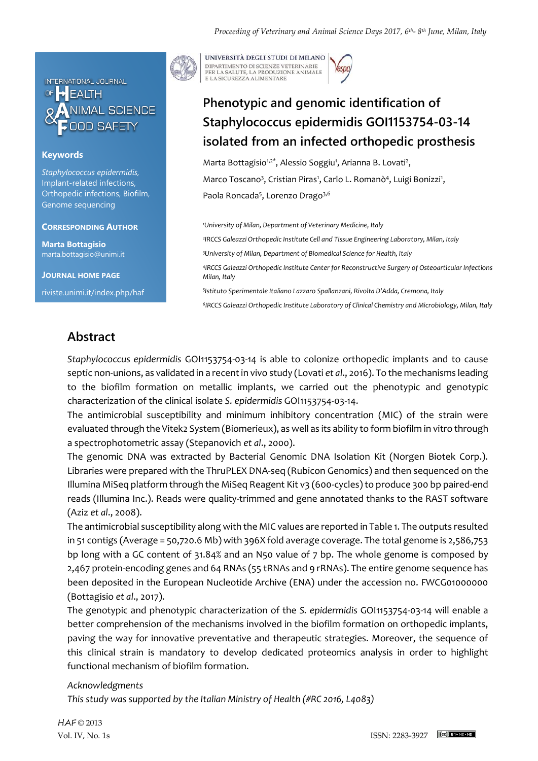

#### **Keywords**

*Staphylococcus epidermidis,* Implant-related infections, Orthopedic infections, Biofilm, Genome sequencing

#### **CORRESPONDING AUTHOR**

**Marta Bottagisio** marta.bottagisio@unimi.it

**JOURNAL HOME PAGE**

riviste.unimi.it/index.php/haf



UNIVERSITÀ DEGLI STUDI DI MILANO DIPARTIMENTO DI SCIENZE VETERINARIE PER LA SALUTE, LA PRODUZIONE ANIMALE<br>E LA SICUREZZA ALIMENTARE

# **Phenotypic and genomic identification of Staphylococcus epidermidis GOI1153754-03-14 isolated from an infected orthopedic prosthesis**

Marta Bottagisio<sup>1,2\*</sup>, Alessio Soggiu<sup>1</sup>, Arianna B. Lovati<sup>2</sup>, Marco Toscano<sup>3</sup>, Cristian Piras<sup>1</sup>, Carlo L. Romanò<sup>4</sup>, Luigi Bonizzi<sup>1</sup>, Paola Roncada<sup>5</sup>, Lorenzo Drago<sup>3,6</sup>

*University of Milan, Department of Veterinary Medicine, Italy IRCCS Galeazzi Orthopedic Institute Cell and Tissue Engineering Laboratory, Milan, Italy University of Milan, Department of Biomedical Science for Health, Italy IRCCS Galeazzi Orthopedic Institute Center for Reconstructive Surgery of Osteoarticular Infections Milan, Italy Istituto Sperimentale Italiano Lazzaro Spallanzani, Rivolta D'Adda, Cremona, Italy IRCCS Galeazzi Orthopedic Institute Laboratory of Clinical Chemistry and Microbiology, Milan, Italy*

# **Abstract**

*Staphylococcus epidermidis* GOI1153754-03-14 is able to colonize orthopedic implants and to cause septic non-unions, as validated in a recent in vivo study (Lovati *et al*., 2016). To the mechanisms leading to the biofilm formation on metallic implants, we carried out the phenotypic and genotypic characterization of the clinical isolate *S. epidermidis* GOI1153754-03-14.

The antimicrobial susceptibility and minimum inhibitory concentration (MIC) of the strain were evaluated through the Vitek2 System (Biomerieux), as well as its ability to form biofilm in vitro through a spectrophotometric assay (Stepanovich *et al*., 2000).

The genomic DNA was extracted by Bacterial Genomic DNA Isolation Kit (Norgen Biotek Corp.). Libraries were prepared with the ThruPLEX DNA-seq (Rubicon Genomics) and then sequenced on the Illumina MiSeq platform through the MiSeq Reagent Kit v3 (600-cycles) to produce 300 bp paired-end reads (Illumina Inc.). Reads were quality-trimmed and gene annotated thanks to the RAST software (Aziz *et al*., 2008).

The antimicrobial susceptibility along with the MIC values are reported in Table 1. The outputs resulted in 51 contigs (Average = 50,720.6 Mb) with 396X fold average coverage. The total genome is 2,586,753 bp long with a GC content of 31.84% and an N50 value of 7 bp. The whole genome is composed by 2,467 protein-encoding genes and 64 RNAs (55 tRNAs and 9 rRNAs). The entire genome sequence has been deposited in the European Nucleotide Archive (ENA) under the accession no. FWCG01000000 (Bottagisio *et al*., 2017).

The genotypic and phenotypic characterization of the *S. epidermidis* GOI1153754-03-14 will enable a better comprehension of the mechanisms involved in the biofilm formation on orthopedic implants, paving the way for innovative preventative and therapeutic strategies. Moreover, the sequence of this clinical strain is mandatory to develop dedicated proteomics analysis in order to highlight functional mechanism of biofilm formation.

### *Acknowledgments*

*This study was supported by the Italian Ministry of Health (#RC 2016, L4083)*

HAF © 2013